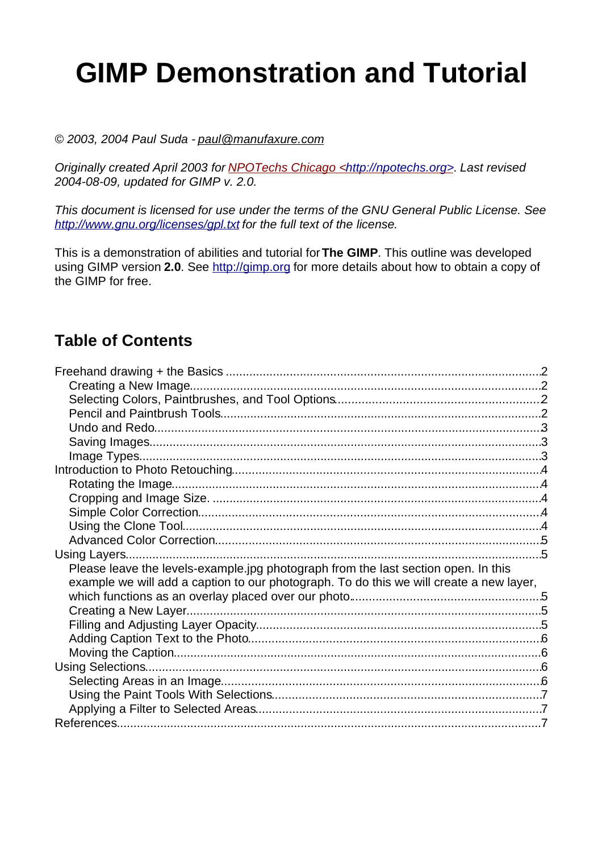# **GIMP Demonstration and Tutorial**

#### © 2003, 2004 Paul Suda - paul@manufaxure.com

Originally created April 2003 for NPOTechs Chicago <http://npotechs.org>. Last revised 2004-08-09, updated for GIMP v. 2.0.

This document is licensed for use under the terms of the GNU General Public License. See http://www.gnu.org/licenses/gpl.txt for the full text of the license.

This is a demonstration of abilities and tutorial for**The GIMP**. This outline was developed using GIMP version **2.0**. See http://gimp.org for more details about how to obtain a copy of the GIMP for free.

#### **Table of Contents**

| Please leave the levels-example jpg photograph from the last section open. In this      |  |
|-----------------------------------------------------------------------------------------|--|
| example we will add a caption to our photograph. To do this we will create a new layer, |  |
|                                                                                         |  |
|                                                                                         |  |
|                                                                                         |  |
|                                                                                         |  |
|                                                                                         |  |
|                                                                                         |  |
|                                                                                         |  |
|                                                                                         |  |
|                                                                                         |  |
|                                                                                         |  |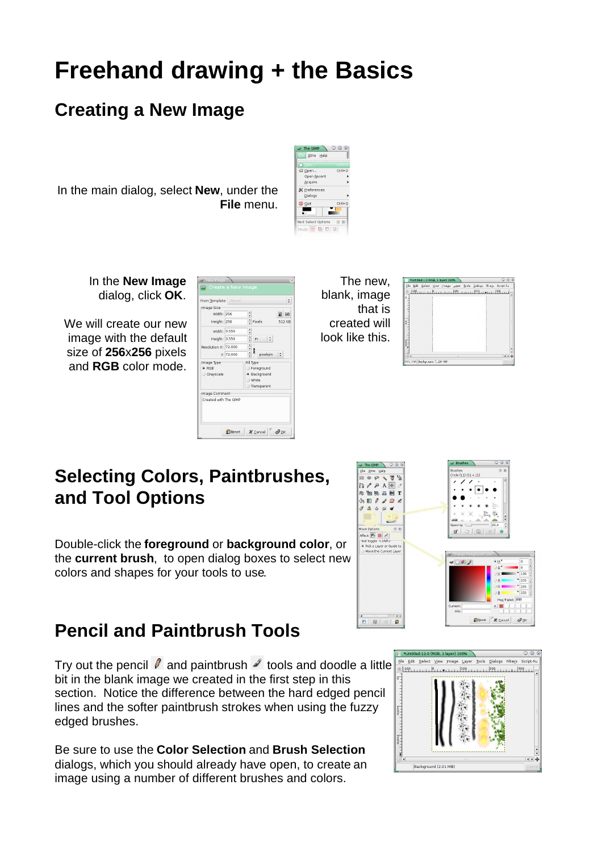### **Freehand drawing + the Basics**

#### **Creating a New Image**

In the main dialog, select **New**, under the **File** menu.



In the **New Image** dialog, click **OK**.

We will create our new image with the default size of **256**x**256** pixels and **RGB** color mode.

| Image Size<br>Width: 256<br>Height: 256 |           |                                                                 | $\frac{2}{\pi}$ Pixels | e e<br>512 KB |  |
|-----------------------------------------|-----------|-----------------------------------------------------------------|------------------------|---------------|--|
| Width: 3.556                            |           | $\ddot{\phantom{0}}$                                            |                        |               |  |
| Height: 3.556                           |           |                                                                 | $\frac{1}{r}$ in<br>Ŀ  |               |  |
| Resolution X: 72,000                    |           |                                                                 | $\frac{1}{1}$<br>g     |               |  |
|                                         | Y: 72,000 |                                                                 | pixels/in              |               |  |
| Image Type:<br>$C$ RGB<br>Grayscale     |           | Fill Type<br>Foreground<br>· Background<br>White<br>Transparent |                        |               |  |
| Image Comment                           |           |                                                                 |                        |               |  |
| Created with The GIMP                   |           |                                                                 |                        |               |  |

The new, blank, image that is created will look like this.



#### **Selecting Colors, Paintbrushes, and Tool Options**

Double-click the **foreground** or **background color**, or the **current brush**, to open dialog boxes to select new colors and shapes for your tools to use.



#### **Pencil and Paintbrush Tools**

Try out the pencil  $\ell$  and paintbrush  $\ell$  tools and doodle a little bit in the blank image we created in the first step in this section. Notice the difference between the hard edged pencil lines and the softer paintbrush strokes when using the fuzzy edged brushes.

Be sure to use the **Color Selection** and **Brush Selection** dialogs, which you should already have open, to create an image using a number of different brushes and colors.

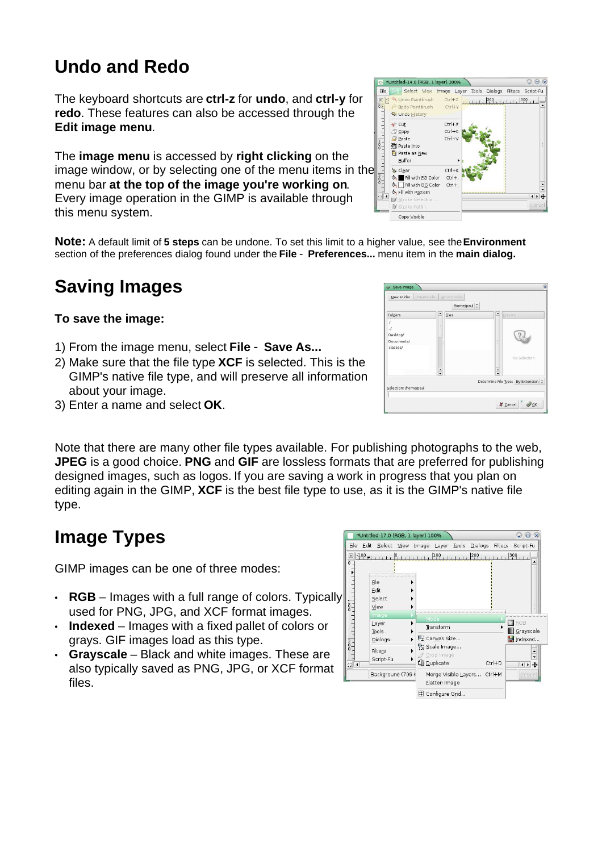### **Undo and Redo**

The keyboard shortcuts are **ctrl-z** for **undo**, and **ctrl-y** for **redo**. These features can also be accessed through the **Edit image menu**.

The **image menu** is accessed by **right clicking** on the image window, or by selecting one of the menu items in the menu bar **at the top of the image you're working on**. Every image operation in the GIMP is available through this menu system.

**Note:** A default limit of **5 steps** can be undone. To set this limit to a higher value, see the**Environment** section of the preferences dialog found under the **File** - **Preferences...** menu item in the **main dialog.**

### **Saving Images**

#### **To save the image:**

- 1) From the image menu, select **File Save As...**
- 2) Make sure that the file type **XCF** is selected. This is the GIMP's native file type, and will preserve all information about your image.
- 3) Enter a name and select **OK**.

Note that there are many other file types available. For publishing photographs to the web, **JPEG** is a good choice. **PNG** and **GIF** are lossless formats that are preferred for publishing designed images, such as logos. If you are saving a work in progress that you plan on editing again in the GIMP, **XCF** is the best file type to use, as it is the GIMP's native file type.

### **Image Types**

GIMP images can be one of three modes:

- $\cdot$  **RGB** Images with a full range of colors. Typically used for PNG, JPG, and XCF format images.
- **Indexed** Images with a fixed pallet of colors or grays. GIF images load as this type.
- **Grayscale** Black and white images. These are also typically saved as PNG, JPG, or XCF format files.





 $\frac{1}{2}$ 

Selection: *I*home/naul

Image Layer Tools Dialogs Filters

 $Ctrl + 1$ 

 $Cth+3$ 

 $Ctrl + C$ 

 $Ctrl + 1$ 

11 LL 11 200 1 1 1 1 300

Determine File Type: By Extension :

 $x$  cancel  $\sim$   $\mathcal{Q}_{\mathcal{QK}}$ 

 $Q \oplus x$ 

Script-Fu

Untitled-14.0 (RGB, 1 layer) 100%

File **Edit Select** View

Die Seier View<br>
Die Undo Paintbrush<br>
Die Pedo Paintbrush

图 Copy

**O** Paste

**暦** Paste Into Paste as New Buffer

 $\frac{1}{0}$ 

<sup>句</sup> Undo History  $\bullet$  Cut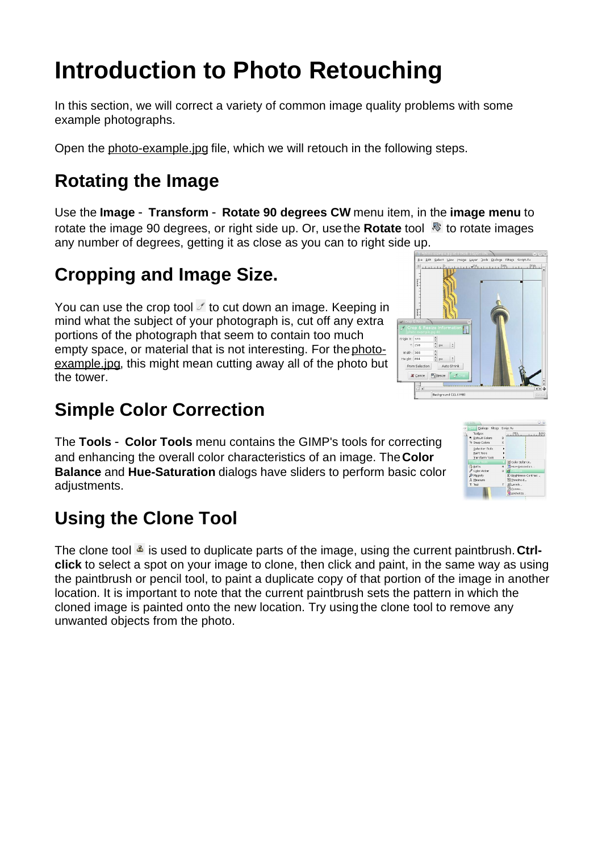## **Introduction to Photo Retouching**

In this section, we will correct a variety of common image quality problems with some example photographs.

Open the photo-example.jpg file, which we will retouch in the following steps.

#### **Rotating the Image**

Use the **Image** - **Transform** - **Rotate 90 degrees CW** menu item, in the **image menu** to rotate the image 90 degrees, or right side up. Or, use the **Rotate** tool **the rotate images** any number of degrees, getting it as close as you can to right side up.

#### **Cropping and Image Size.**

You can use the crop tool  $\ell$  to cut down an image. Keeping in mind what the subject of your photograph is, cut off any extra portions of the photograph that seem to contain too much empty space, or material that is not interesting. For thephotoexample.jpg, this might mean cutting away all of the photo but the tower.

#### **Simple Color Correction**

The **Tools** - **Color Tools** menu contains the GIMP's tools for correcting and enhancing the overall color characteristics of an image. The**Color Balance** and **Hue-Saturation** dialogs have sliders to perform basic color adjustments.

#### **Using the Clone Tool**

The clone tool  $\triangleq$  is used to duplicate parts of the image, using the current paintbrush. Ctrl**click** to select a spot on your image to clone, then click and paint, in the same way as using the paintbrush or pencil tool, to paint a duplicate copy of that portion of the image in another location. It is important to note that the current paintbrush sets the pattern in which the cloned image is painted onto the new location. Try using the clone tool to remove any unwanted objects from the photo.



View Image Layer Dols Dislogs Filters Script-Fil

|750

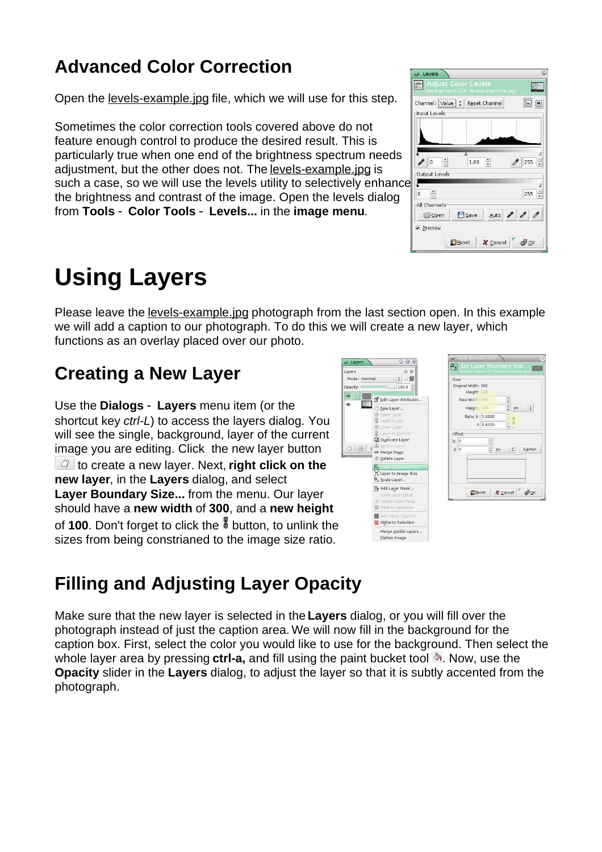#### **Advanced Color Correction**

Open the levels-example.jpg file, which we will use for this step.

Sometimes the color correction tools covered above do not feature enough control to produce the desired result. This is particularly true when one end of the brightness spectrum needs adjustment, but the other does not. The levels-example.jpg is such a case, so we will use the levels utility to selectively enhance the brightness and contrast of the image. Open the levels dialog from **Tools** - **Color Tools** - **Levels...** in the **image menu**.

### **Using Layers**

Please leave the levels-example.jpg photograph from the last section open. In this example we will add a caption to our photograph. To do this we will create a new layer, which functions as an overlay placed over our photo.

J Layers

#### **Creating a New Layer**

Use the **Dialogs** - **Layers** menu item (or the shortcut key ctrl-L) to access the layers dialog. You will see the single, background, layer of the current image you are editing. Click the new layer button to create a new layer. Next, **right click on the new layer**, in the **Layers** dialog, and select **Layer Boundary Size...** from the menu. Our layer should have a **new width** of **300**, and a **new height** of **100**. Don't forget to click the **button**, to unlink the sizes from being constrianed to the image size ratio.



 $Q_0$   $\alpha$ 



### **Filling and Adjusting Layer Opacity**

Make sure that the new layer is selected in the **Layers** dialog, or you will fill over the photograph instead of just the caption area. We will now fill in the background for the caption box. First, select the color you would like to use for the background. Then select the whole layer area by pressing **ctrl-a**, and fill using the paint bucket tool  $\triangle$ . Now, use the **Opacity** slider in the **Layers** dialog, to adjust the layer so that it is subtly accented from the photograph.

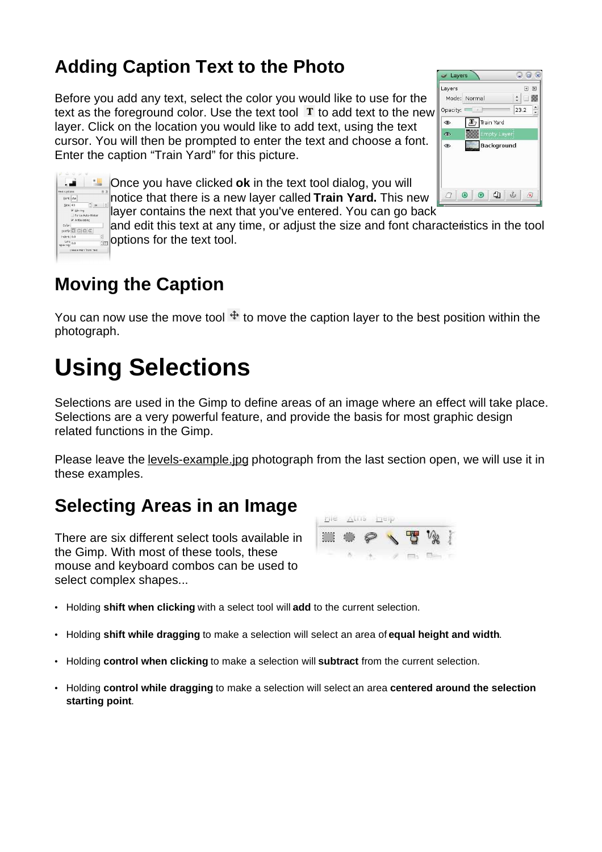#### **Adding Caption Text to the Photo**

Before you add any text, select the color you would like to use for the text as the foreground color. Use the text tool  $T$  to add text to the new layer. Click on the location you would like to add text, using the text cursor. You will then be prompted to enter the text and choose a font. Enter the caption "Train Yard" for this picture.





Once you have clicked **ok** in the text tool dialog, you will notice that there is a new layer called **Train Yard.** This new

layer contains the next that you've entered. You can go back

and edit this text at any time, or adjust the size and font characteristics in the tool **options for the text tool.** 

#### **Moving the Caption**

You can now use the move tool  $\pm$  to move the caption layer to the best position within the photograph.

# **Using Selections**

Selections are used in the Gimp to define areas of an image where an effect will take place. Selections are a very powerful feature, and provide the basis for most graphic design related functions in the Gimp.

Please leave the levels-example.jpg photograph from the last section open, we will use it in these examples.

#### **Selecting Areas in an Image**

There are six different select tools available in the Gimp. With most of these tools, these mouse and keyboard combos can be used to select complex shapes...



- Holding **shift when clicking** with a select tool will **add** to the current selection.
- Holding **shift while dragging** to make a selection will select an area of **equal height and width**.
- Holding **control when clicking** to make a selection will **subtract** from the current selection.
- Holding **control while dragging** to make a selection will select an area **centered around the selection starting point**.